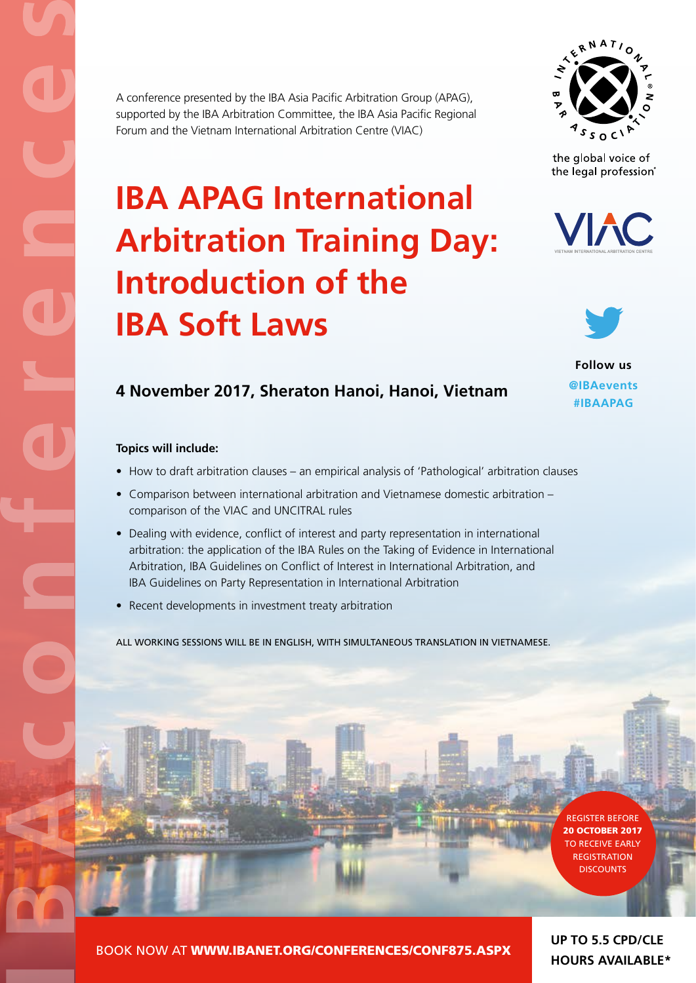

the global voice of the legal profession®

## **IBA APAG International Arbitration Training Day: Introduction of the IBA Soft Laws**

A conference presented by the IBA Asia Pacific Arbitration Group (APAG), supported by the IBA Arbitration Committee, the IBA Asia Pacific Regional

Forum and the Vietnam International Arbitration Centre (VIAC)





**Follow us @IBAevents #IBAAPAG**

### **4 November 2017, Sheraton Hanoi, Hanoi, Vietnam**

#### **Topics will include:**

- How to draft arbitration clauses an empirical analysis of 'Pathological' arbitration clauses
- Comparison between international arbitration and Vietnamese domestic arbitration comparison of the VIAC and UNCITRAL rules
- Dealing with evidence, conflict of interest and party representation in international arbitration: the application of the IBA Rules on the Taking of Evidence in International Arbitration, IBA Guidelines on Conflict of Interest in International Arbitration, and IBA Guidelines on Party Representation in International Arbitration
- Recent developments in investment treaty arbitration

ALL WORKING SESSIONS WILL BE IN ENGLISH, WITH SIMULTANEOUS TRANSLATION IN VIETNAMESE.



BOOK NOW AT [WWW.IBANET.ORG/CONFERENCES/CONF875.ASPX](http://www.ibanet.org/conferences/conf875.aspx)

**UP TO 5.5 CPD/CLE HOURS AVAILABLE\***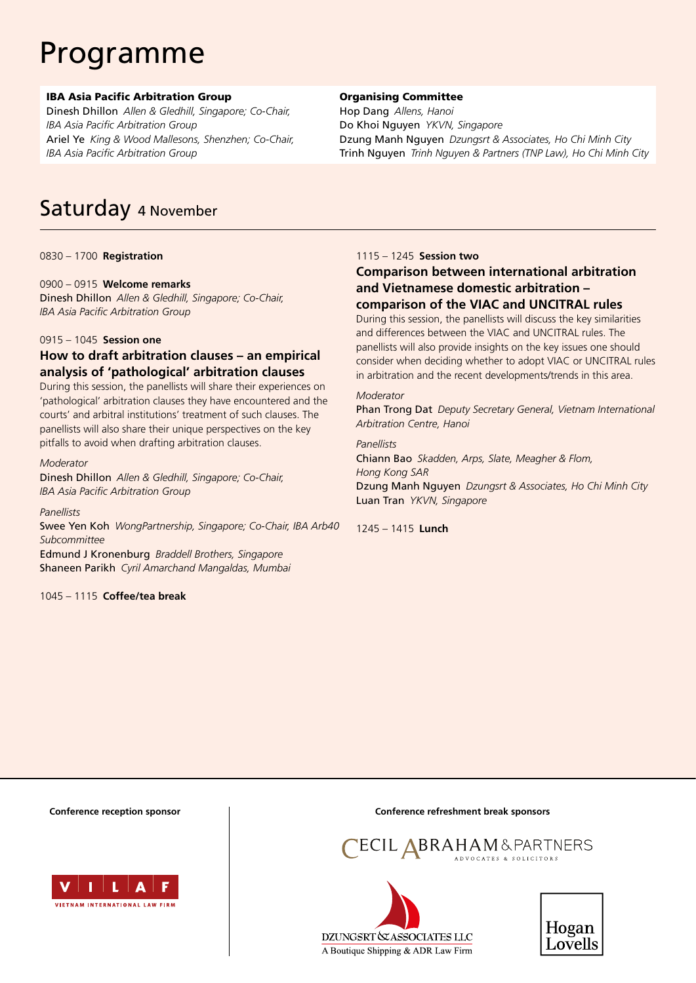## Programme

#### IBA Asia Pacific Arbitration Group

Dinesh Dhillon *Allen & Gledhill, Singapore; Co-Chair, IBA Asia Pacific Arbitration Group* Ariel Ye *King & Wood Mallesons, Shenzhen; Co-Chair, IBA Asia Pacific Arbitration Group*

#### Organising Committee

Hop Dang *Allens, Hanoi* Do Khoi Nguyen *YKVN, Singapore* Dzung Manh Nguyen *Dzungsrt & Associates, Ho Chi Minh City* Trinh Nguyen *Trinh Nguyen & Partners (TNP Law), Ho Chi Minh City*

### Saturday 4 November

0830 – 1700 **Registration**

#### 0900 – 0915 **Welcome remarks**

Dinesh Dhillon *Allen & Gledhill, Singapore; Co-Chair, IBA Asia Pacific Arbitration Group*

#### 0915 – 1045 **Session one**

#### **How to draft arbitration clauses – an empirical analysis of 'pathological' arbitration clauses**

During this session, the panellists will share their experiences on 'pathological' arbitration clauses they have encountered and the courts' and arbitral institutions' treatment of such clauses. The panellists will also share their unique perspectives on the key pitfalls to avoid when drafting arbitration clauses.

#### *Moderator*

Dinesh Dhillon *Allen & Gledhill, Singapore; Co-Chair, IBA Asia Pacific Arbitration Group*

#### *Panellists*

Swee Yen Koh *WongPartnership, Singapore; Co-Chair, IBA Arb40 Subcommittee* Edmund J Kronenburg *Braddell Brothers, Singapore* Shaneen Parikh *Cyril Amarchand Mangaldas, Mumbai*

1045 – 1115 **Coffee/tea break**

#### 1115 – 1245 **Session two**

#### **Comparison between international arbitration and Vietnamese domestic arbitration – comparison of the VIAC and UNCITRAL rules**

During this session, the panellists will discuss the key similarities and differences between the VIAC and UNCITRAL rules. The panellists will also provide insights on the key issues one should consider when deciding whether to adopt VIAC or UNCITRAL rules in arbitration and the recent developments/trends in this area.

#### *Moderator*

Phan Trong Dat *Deputy Secretary General, Vietnam International Arbitration Centre, Hanoi*

#### *Panellists* Chiann Bao *Skadden, Arps, Slate, Meagher & Flom,*

*Hong Kong SAR* Dzung Manh Nguyen *Dzungsrt & Associates, Ho Chi Minh City* Luan Tran *YKVN, Singapore*

1245 – 1415 **Lunch**



**Conference reception sponsor Conference refreshment break sponsors**





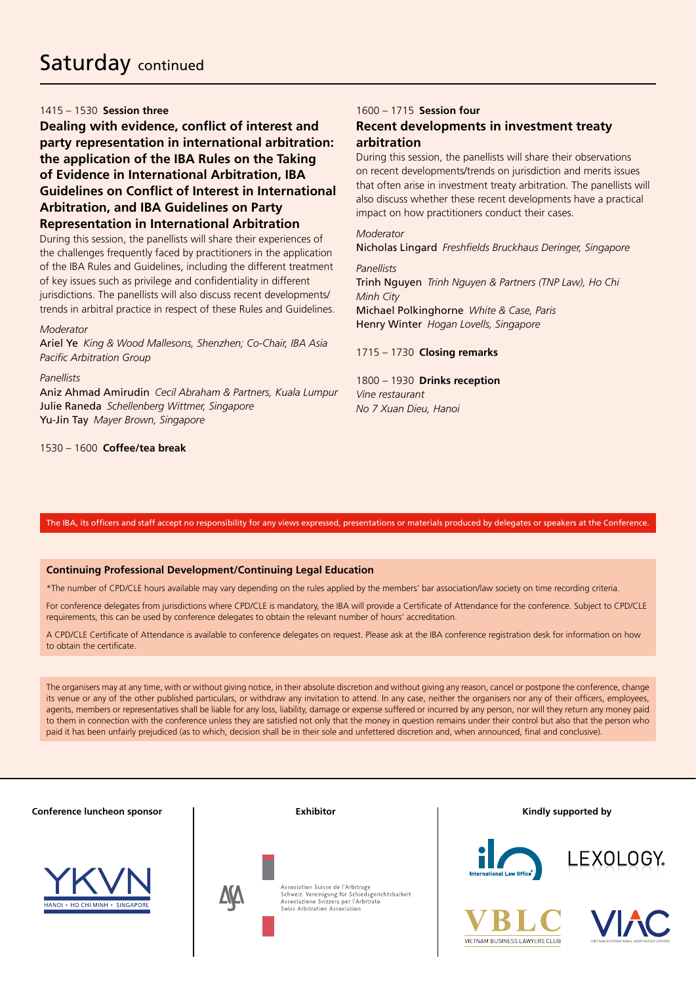#### 1415 – 1530 **Session three**

**Dealing with evidence, conflict of interest and party representation in international arbitration: the application of the IBA Rules on the Taking of Evidence in International Arbitration, IBA Guidelines on Conflict of Interest in International Arbitration, and IBA Guidelines on Party Representation in International Arbitration**

During this session, the panellists will share their experiences of the challenges frequently faced by practitioners in the application of the IBA Rules and Guidelines, including the different treatment of key issues such as privilege and confidentiality in different jurisdictions. The panellists will also discuss recent developments/ trends in arbitral practice in respect of these Rules and Guidelines.

#### *Moderator*

Ariel Ye *King & Wood Mallesons, Shenzhen; Co-Chair, IBA Asia Pacific Arbitration Group*

#### *Panellists*

Aniz Ahmad Amirudin *Cecil Abraham & Partners, Kuala Lumpur*  Julie Raneda *Schellenberg Wittmer, Singapore* Yu-Jin Tay *Mayer Brown, Singapore*

1530 – 1600 **Coffee/tea break**

#### 1600 – 1715 **Session four**

#### **Recent developments in investment treaty arbitration**

During this session, the panellists will share their observations on recent developments/trends on jurisdiction and merits issues that often arise in investment treaty arbitration. The panellists will also discuss whether these recent developments have a practical impact on how practitioners conduct their cases.

#### *Moderator*

*Panellists* Trinh Nguyen *Trinh Nguyen & Partners (TNP Law), Ho Chi Minh City* Michael Polkinghorne *White & Case, Paris*  Henry Winter *Hogan Lovells, Singapore*

Nicholas Lingard *Freshfields Bruckhaus Deringer, Singapore*

#### 1715 – 1730 **Closing remarks**

1800 – 1930 **Drinks reception** *Vine restaurant No 7 Xuan Dieu, Hanoi*

#### The IBA, its officers and staff accept no responsibility for any views expressed, presentations or materials produced by delegates or speakers at the Conference.

#### **Continuing Professional Development/Continuing Legal Education**

\*The number of CPD/CLE hours available may vary depending on the rules applied by the members' bar association/law society on time recording criteria.

For conference delegates from jurisdictions where CPD/CLE is mandatory, the IBA will provide a Certificate of Attendance for the conference. Subject to CPD/CLE requirements, this can be used by conference delegates to obtain the relevant number of hours' accreditation.

A CPD/CLE Certificate of Attendance is available to conference delegates on request. Please ask at the IBA conference registration desk for information on how to obtain the certificate.

The organisers may at any time, with or without giving notice, in their absolute discretion and without giving any reason, cancel or postpone the conference, change its venue or any of the other published particulars, or withdraw any invitation to attend. In any case, neither the organisers nor any of their officers, employees, agents, members or representatives shall be liable for any loss, liability, damage or expense suffered or incurred by any person, nor will they return any money paid to them in connection with the conference unless they are satisfied not only that the money in question remains under their control but also that the person who paid it has been unfairly prejudiced (as to which, decision shall be in their sole and unfettered discretion and, when announced, final and conclusive).

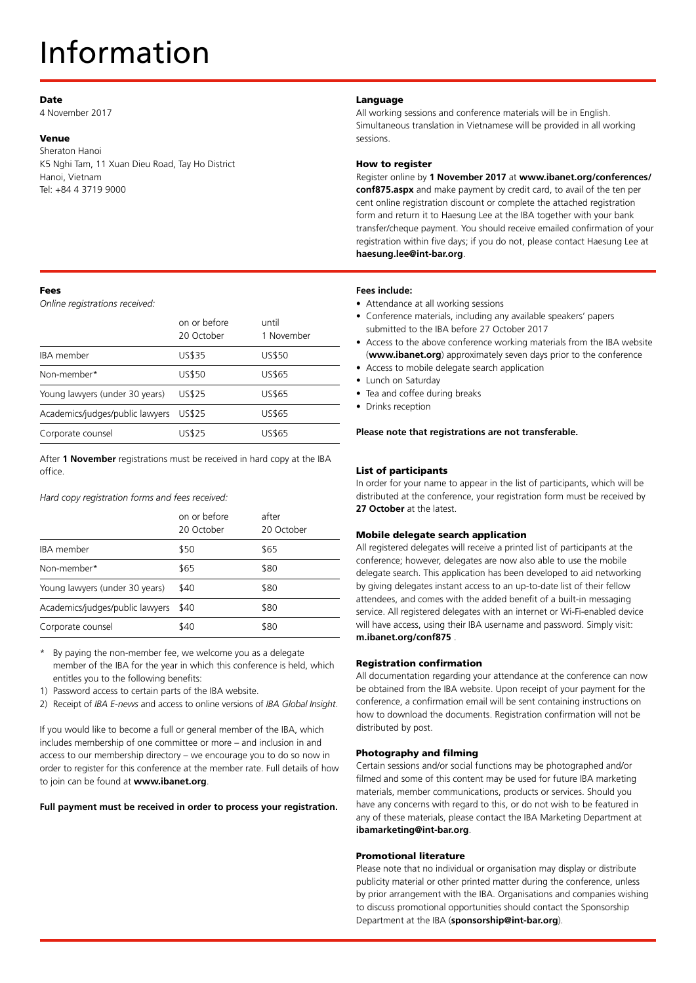## Information

#### Date

4 November 2017

#### Venue

Sheraton Hanoi K5 Nghi Tam, 11 Xuan Dieu Road, Tay Ho District Hanoi, Vietnam Tel: +84 4 3719 9000

#### Fees

*Online registrations received:*

|                                 | on or before<br>20 October | until<br>1 November |
|---------------------------------|----------------------------|---------------------|
| <b>IBA</b> member               | <b>US\$35</b>              | <b>US\$50</b>       |
| Non-member*                     | <b>US\$50</b>              | US\$65              |
| Young lawyers (under 30 years)  | <b>US\$25</b>              | <b>US\$65</b>       |
| Academics/judges/public lawyers | <b>US\$25</b>              | US\$65              |
| Corporate counsel               | US\$25                     | US\$65              |

After **1 November** registrations must be received in hard copy at the IBA office.

*Hard copy registration forms and fees received:*

|                                 | on or before<br>20 October | after<br>20 October |
|---------------------------------|----------------------------|---------------------|
| <b>IBA</b> member               | \$50                       | \$65                |
| Non-member*                     | \$65                       | \$80                |
| Young lawyers (under 30 years)  | \$40                       | \$80                |
| Academics/judges/public lawyers | \$40                       | \$80                |
| Corporate counsel               | \$40                       | \$80                |

- By paying the non-member fee, we welcome you as a delegate member of the IBA for the year in which this conference is held, which entitles you to the following benefits:
- 1) Password access to certain parts of the IBA website.
- 2) Receipt of *IBA E-news* and access to online versions of *IBA Global Insight*.

If you would like to become a full or general member of the IBA, which includes membership of one committee or more – and inclusion in and access to our membership directory – we encourage you to do so now in order to register for this conference at the member rate. Full details of how to join can be found at **www.ibanet.org**.

#### **Full payment must be received in order to process your registration.**

#### Language

All working sessions and conference materials will be in English. Simultaneous translation in Vietnamese will be provided in all working sessions.

#### How to register

Register online by **1 November 2017** at **[www.ibanet.org/conferences/](http://www.ibanet.org/conferences/conf875.aspx)**

**[conf875.aspx](http://www.ibanet.org/conferences/conf875.aspx)** and make payment by credit card, to avail of the ten per cent online registration discount or complete the attached registration form and return it to Haesung Lee at the IBA together with your bank transfer/cheque payment. You should receive emailed confirmation of your registration within five days; if you do not, please contact Haesung Lee at **haesung.lee@int-bar.org**.

#### **Fees include:**

- Attendance at all working sessions
- Conference materials, including any available speakers' papers submitted to the IBA before 27 October 2017
- Access to the above conference working materials from the IBA website (**www.ibanet.org**) approximately seven days prior to the conference
- Access to mobile delegate search application
- Lunch on Saturday
- Tea and coffee during breaks
- Drinks reception

**Please note that registrations are not transferable.**

#### List of participants

In order for your name to appear in the list of participants, which will be distributed at the conference, your registration form must be received by **27 October** at the latest.

#### Mobile delegate search application

All registered delegates will receive a printed list of participants at the conference; however, delegates are now also able to use the mobile delegate search. This application has been developed to aid networking by giving delegates instant access to an up-to-date list of their fellow attendees, and comes with the added benefit of a built-in messaging service. All registered delegates with an internet or Wi-Fi-enabled device will have access, using their IBA username and password. Simply visit: **m.ibanet.org/conf875** .

#### Registration confirmation

All documentation regarding your attendance at the conference can now be obtained from the IBA website. Upon receipt of your payment for the conference, a confirmation email will be sent containing instructions on how to download the documents. Registration confirmation will not be distributed by post.

#### Photography and filming

Certain sessions and/or social functions may be photographed and/or filmed and some of this content may be used for future IBA marketing materials, member communications, products or services. Should you have any concerns with regard to this, or do not wish to be featured in any of these materials, please contact the IBA Marketing Department at **ibamarketing@int-bar.org**.

#### Promotional literature

Please note that no individual or organisation may display or distribute publicity material or other printed matter during the conference, unless by prior arrangement with the IBA. Organisations and companies wishing to discuss promotional opportunities should contact the Sponsorship Department at the IBA (**sponsorship@int-bar.org**).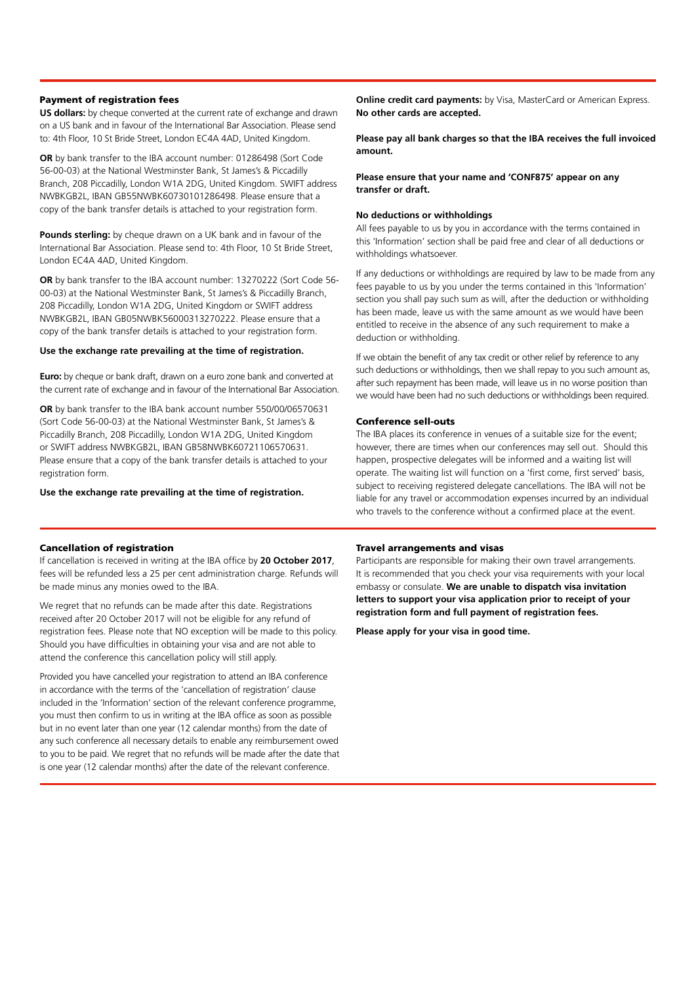#### Payment of registration fees

**US dollars:** by cheque converted at the current rate of exchange and drawn on a US bank and in favour of the International Bar Association. Please send to: 4th Floor, 10 St Bride Street, London EC4A 4AD, United Kingdom.

**OR** by bank transfer to the IBA account number: 01286498 (Sort Code 56-00-03) at the National Westminster Bank, St James's & Piccadilly Branch, 208 Piccadilly, London W1A 2DG, United Kingdom. SWIFT address NWBKGB2L, IBAN GB55NWBK60730101286498. Please ensure that a copy of the bank transfer details is attached to your registration form.

**Pounds sterling:** by cheque drawn on a UK bank and in favour of the International Bar Association. Please send to: 4th Floor, 10 St Bride Street, London EC4A 4AD, United Kingdom.

**OR** by bank transfer to the IBA account number: 13270222 (Sort Code 56- 00-03) at the National Westminster Bank, St James's & Piccadilly Branch, 208 Piccadilly, London W1A 2DG, United Kingdom or SWIFT address NWBKGB2L, IBAN GB05NWBK56000313270222. Please ensure that a copy of the bank transfer details is attached to your registration form.

#### **Use the exchange rate prevailing at the time of registration.**

**Euro:** by cheque or bank draft, drawn on a euro zone bank and converted at the current rate of exchange and in favour of the International Bar Association.

**OR** by bank transfer to the IBA bank account number 550/00/06570631 (Sort Code 56-00-03) at the National Westminster Bank, St James's & Piccadilly Branch, 208 Piccadilly, London W1A 2DG, United Kingdom or SWIFT address NWBKGB2L, IBAN GB58NWBK60721106570631. Please ensure that a copy of the bank transfer details is attached to your registration form.

**Use the exchange rate prevailing at the time of registration.**

#### Cancellation of registration

If cancellation is received in writing at the IBA office by **20 October 2017**, fees will be refunded less a 25 per cent administration charge. Refunds will be made minus any monies owed to the IBA.

We regret that no refunds can be made after this date. Registrations received after 20 October 2017 will not be eligible for any refund of registration fees. Please note that NO exception will be made to this policy. Should you have difficulties in obtaining your visa and are not able to attend the conference this cancellation policy will still apply.

Provided you have cancelled your registration to attend an IBA conference in accordance with the terms of the 'cancellation of registration' clause included in the 'Information' section of the relevant conference programme, you must then confirm to us in writing at the IBA office as soon as possible but in no event later than one year (12 calendar months) from the date of any such conference all necessary details to enable any reimbursement owed to you to be paid. We regret that no refunds will be made after the date that is one year (12 calendar months) after the date of the relevant conference.

**Online credit card payments:** by Visa, MasterCard or American Express. **No other cards are accepted.** 

**Please pay all bank charges so that the IBA receives the full invoiced amount.**

#### **Please ensure that your name and 'CONF875' appear on any transfer or draft.**

#### **No deductions or withholdings**

All fees payable to us by you in accordance with the terms contained in this 'Information' section shall be paid free and clear of all deductions or withholdings whatsoever.

If any deductions or withholdings are required by law to be made from any fees payable to us by you under the terms contained in this 'Information' section you shall pay such sum as will, after the deduction or withholding has been made, leave us with the same amount as we would have been entitled to receive in the absence of any such requirement to make a deduction or withholding.

If we obtain the benefit of any tax credit or other relief by reference to any such deductions or withholdings, then we shall repay to you such amount as, after such repayment has been made, will leave us in no worse position than we would have been had no such deductions or withholdings been required.

#### Conference sell-outs

The IBA places its conference in venues of a suitable size for the event; however, there are times when our conferences may sell out. Should this happen, prospective delegates will be informed and a waiting list will operate. The waiting list will function on a 'first come, first served' basis, subject to receiving registered delegate cancellations. The IBA will not be liable for any travel or accommodation expenses incurred by an individual who travels to the conference without a confirmed place at the event.

#### Travel arrangements and visas

Participants are responsible for making their own travel arrangements. It is recommended that you check your visa requirements with your local embassy or consulate. **We are unable to dispatch visa invitation letters to support your visa application prior to receipt of your registration form and full payment of registration fees.** 

**Please apply for your visa in good time.**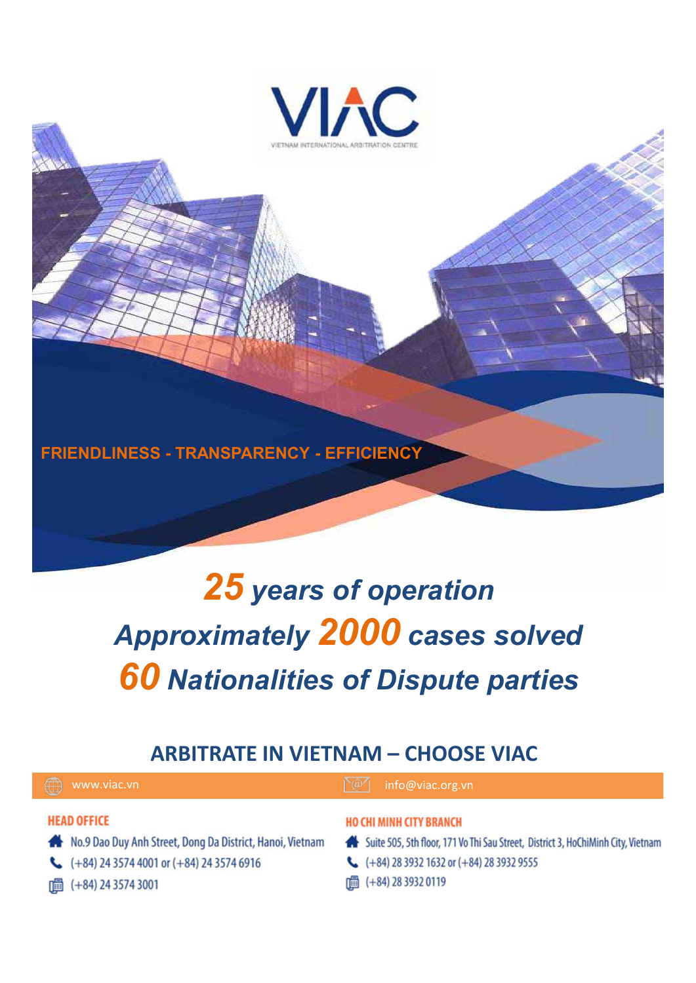

**FRIENDLINESS - TRANSPARENCY - EFFICIENCY**

# *25 years of operation Approximately 2000 cases solved 60 Nationalities of Dispute parties*

### **ARBITRATE IN VIETNAM – CHOOSE VIAC**

www.viac.vn info@viac.org.vn

#### **HEAD OFFICE**

- No.9 Dao Duy Anh Street, Dong Da District, Hanoi, Vietnam
- $\leftarrow$  (+84) 24 3574 4001 or (+84) 24 3574 6916
- □ (+84) 24 3574 3001

#### HO CHI MINH CITY BRANCH

- Suite 505, 5th floor, 171 Vo Thi Sau Street, District 3, HoChiMinh City, Vietnam
- $\leftarrow$  (+84) 28 3932 1632 or (+84) 28 3932 9555
- | (+84) 28 3932 0119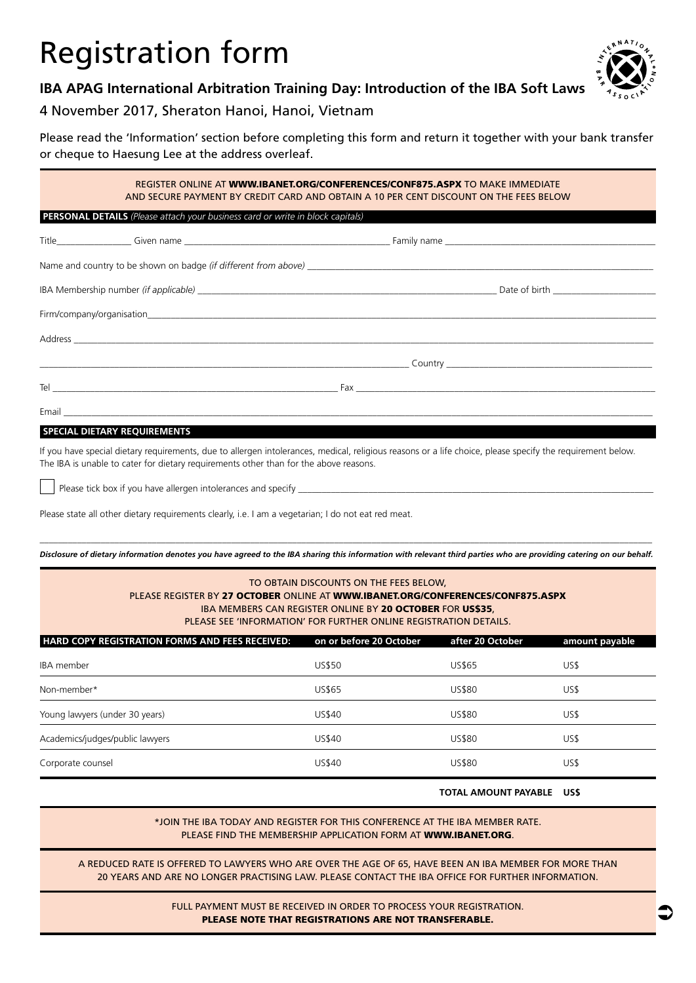## Registration form



#### **IBA APAG International Arbitration Training Day: Introduction of the IBA Soft Laws**

#### 4 November 2017, Sheraton Hanoi, Hanoi, Vietnam

Please read the 'Information' section before completing this form and return it together with your bank transfer or cheque to Haesung Lee at the address overleaf.

#### REGISTER ONLINE AT [WWW.IBANET.ORG/CONFERENCES/CONF875.ASPX](http://WWW.IBANET.ORG/CONFERENCES/conf875.aspx) TO MAKE IMMEDIATE AND SECURE PAYMENT BY CREDIT CARD AND OBTAIN A 10 PER CENT DISCOUNT ON THE FEES BELOW

#### **PERSONAL DETAILS** *(Please attach your business card or write in block capitals)*

#### **SPECIAL DIETARY REQUIREMENTS**

If you have special dietary requirements, due to allergen intolerances, medical, religious reasons or a life choice, please specify the requirement below. The IBA is unable to cater for dietary requirements other than for the above reasons.

Please tick box if you have allergen intolerances and specify

Please state all other dietary requirements clearly, i.e. I am a vegetarian; I do not eat red meat.

 $\_$  , and the set of the set of the set of the set of the set of the set of the set of the set of the set of the set of the set of the set of the set of the set of the set of the set of the set of the set of the set of th *Disclosure of dietary information denotes you have agreed to the IBA sharing this information with relevant third parties who are providing catering on our behalf.*

| TO OBTAIN DISCOUNTS ON THE FEES BELOW,<br>PLEASE REGISTER BY 27 OCTOBER ONLINE AT WWW.IBANET.ORG/CONFERENCES/CONF875.ASPX<br>IBA MEMBERS CAN REGISTER ONLINE BY 20 OCTOBER FOR US\$35,<br>PLEASE SEE 'INFORMATION' FOR FURTHER ONLINE REGISTRATION DETAILS. |                         |                  |                |  |
|-------------------------------------------------------------------------------------------------------------------------------------------------------------------------------------------------------------------------------------------------------------|-------------------------|------------------|----------------|--|
| <b>HARD COPY REGISTRATION FORMS AND FEES RECEIVED:</b>                                                                                                                                                                                                      | on or before 20 October | after 20 October | amount payable |  |
| IBA member                                                                                                                                                                                                                                                  | <b>US\$50</b>           | US\$65           | US\$           |  |
| Non-member*                                                                                                                                                                                                                                                 | <b>US\$65</b>           | <b>US\$80</b>    | US\$           |  |
| Young lawyers (under 30 years)                                                                                                                                                                                                                              | <b>US\$40</b>           | <b>US\$80</b>    | US\$           |  |
| Academics/judges/public lawyers                                                                                                                                                                                                                             | US\$40                  | <b>US\$80</b>    | US\$           |  |
| Corporate counsel                                                                                                                                                                                                                                           | US\$40                  | <b>US\$80</b>    | US\$           |  |

#### **TOTAL AMOUNT PAYABLE US\$**

 $\bullet$ 

\*JOIN THE IBA TODAY AND REGISTER FOR THIS CONFERENCE AT THE IBA MEMBER RATE. PLEASE FIND THE MEMBERSHIP APPLICATION FORM AT [WWW.IBANET.ORG](http://www.ibanet.org).

A REDUCED RATE IS OFFERED TO LAWYERS WHO ARE OVER THE AGE OF 65, HAVE BEEN AN IBA MEMBER FOR MORE THAN 20 YEARS AND ARE NO LONGER PRACTISING LAW. PLEASE CONTACT THE IBA OFFICE FOR FURTHER INFORMATION.

> FULL PAYMENT MUST BE RECEIVED IN ORDER TO PROCESS YOUR REGISTRATION. PLEASE NOTE THAT REGISTRATIONS ARE NOT TRANSFERABLE.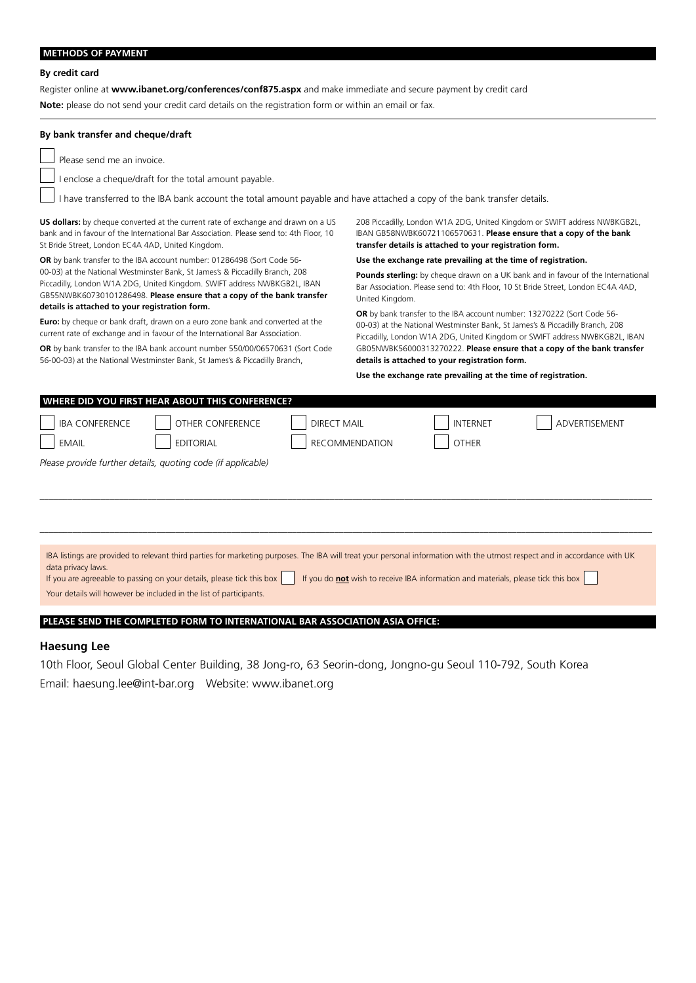#### **METHODS OF PAYMENT**

#### **By credit card**

Register online at **[www.ibanet.org/conferences/conf875.aspx](http://www.ibanet.org/conferences/conf875.aspx)** and make immediate and secure payment by credit card

**Note:** please do not send your credit card details on the registration form or within an email or fax.

#### **By bank transfer and cheque/draft**

Please send me an invoice.

I enclose a cheque/draft for the total amount payable.

I have transferred to the IBA bank account the total amount payable and have attached a copy of the bank transfer details.

**US dollars:** by cheque converted at the current rate of exchange and drawn on a US bank and in favour of the International Bar Association. Please send to: 4th Floor, 10 St Bride Street, London EC4A 4AD, United Kingdom.

**OR** by bank transfer to the IBA account number: 01286498 (Sort Code 56- 00-03) at the National Westminster Bank, St James's & Piccadilly Branch, 208 Piccadilly, London W1A 2DG, United Kingdom. SWIFT address NWBKGB2L, IBAN GB55NWBK60730101286498. **Please ensure that a copy of the bank transfer details is attached to your registration form.**

**Euro:** by cheque or bank draft, drawn on a euro zone bank and converted at the current rate of exchange and in favour of the International Bar Association.

**OR** by bank transfer to the IBA bank account number 550/00/06570631 (Sort Code 56-00-03) at the National Westminster Bank, St James's & Piccadilly Branch,

208 Piccadilly, London W1A 2DG, United Kingdom or SWIFT address NWBKGB2L, IBAN GB58NWBK60721106570631. **Please ensure that a copy of the bank transfer details is attached to your registration form.**

**Use the exchange rate prevailing at the time of registration.**

Pounds sterling: by cheque drawn on a UK bank and in favour of the International Bar Association. Please send to: 4th Floor, 10 St Bride Street, London EC4A 4AD, United Kingdom.

**OR** by bank transfer to the IBA account number: 13270222 (Sort Code 56- 00-03) at the National Westminster Bank, St James's & Piccadilly Branch, 208 Piccadilly, London W1A 2DG, United Kingdom or SWIFT address NWBKGB2L, IBAN GB05NWBK56000313270222. **Please ensure that a copy of the bank transfer details is attached to your registration form.**

**Use the exchange rate prevailing at the time of registration.**

| WHERE DID YOU FIRST HEAR ABOUT THIS CONFERENCE? |                                                                                                                                                                            |                       |                                                                                          |               |
|-------------------------------------------------|----------------------------------------------------------------------------------------------------------------------------------------------------------------------------|-----------------------|------------------------------------------------------------------------------------------|---------------|
| <b>IBA CONFERENCE</b>                           | OTHER CONFERENCE                                                                                                                                                           | <b>DIRECT MAIL</b>    | <b>INTERNET</b>                                                                          | ADVERTISEMENT |
| <b>EMAIL</b>                                    | <b>EDITORIAL</b>                                                                                                                                                           | <b>RECOMMENDATION</b> | <b>OTHER</b>                                                                             |               |
|                                                 | Please provide further details, quoting code (if applicable)                                                                                                               |                       |                                                                                          |               |
|                                                 |                                                                                                                                                                            |                       |                                                                                          |               |
|                                                 |                                                                                                                                                                            |                       |                                                                                          |               |
|                                                 |                                                                                                                                                                            |                       |                                                                                          |               |
|                                                 |                                                                                                                                                                            |                       |                                                                                          |               |
| data privacy laws.                              | IBA listings are provided to relevant third parties for marketing purposes. The IBA will treat your personal information with the utmost respect and in accordance with UK |                       |                                                                                          |               |
|                                                 | If you are agreeable to passing on your details, please tick this box                                                                                                      |                       | If you do <b>not</b> wish to receive IBA information and materials, please tick this box |               |
|                                                 | Your details will however be included in the list of participants.                                                                                                         |                       |                                                                                          |               |
|                                                 |                                                                                                                                                                            |                       |                                                                                          |               |
|                                                 | PLEASE SEND THE COMPLETED FORM TO INTERNATIONAL BAR ASSOCIATION ASIA OFFICE:                                                                                               |                       |                                                                                          |               |

#### **Haesung Lee**

10th Floor, Seoul Global Center Building, 38 Jong-ro, 63 Seorin-dong, Jongno-gu Seoul 110-792, South Korea Email: haesung.lee@int-bar.org Website: www.ibanet.org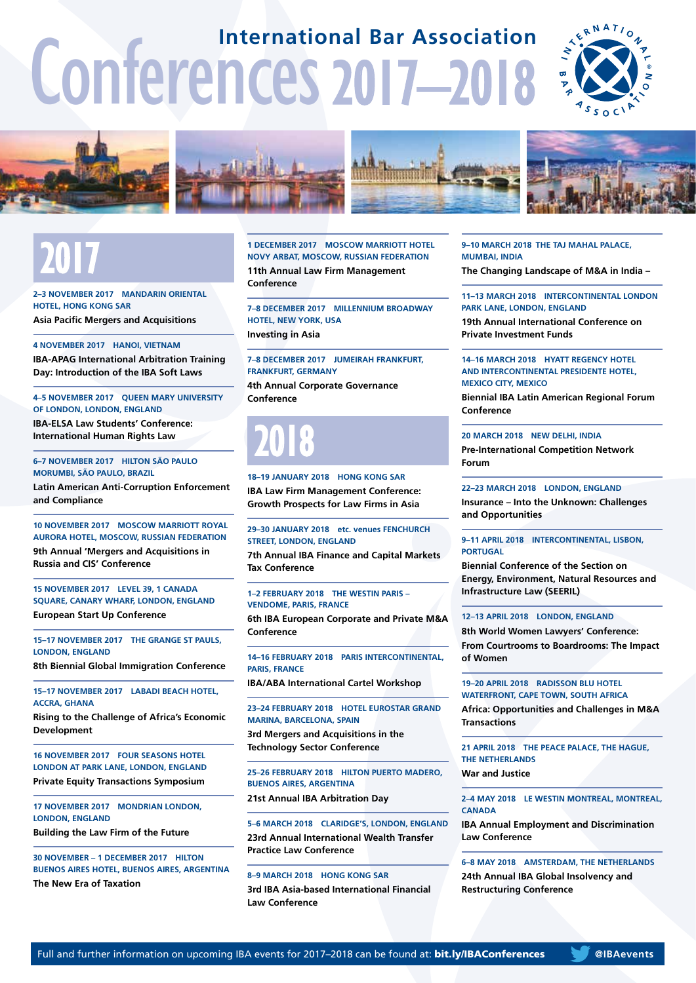# Conferences 2017–2018 **International Bar Association**









# 2017

**2–3 NOVEMBER 2017 MANDARIN ORIENTAL HOTEL, HONG KONG SAR Asia Pacific Mergers and Acquisitions**

**4 NOVEMBER 2017 HANOI, VIETNAM IBA-APAG International Arbitration Training Day: Introduction of the IBA Soft Laws**

**4–5 NOVEMBER 2017 QUEEN MARY UNIVERSITY OF LONDON, LONDON, ENGLAND**

**IBA-ELSA Law Students' Conference: International Human Rights Law**

#### **6–7 NOVEMBER 2017 HILTON SÃO PAULO MORUMBI, SÃO PAULO, BRAZIL**

**Latin American Anti-Corruption Enforcement and Compliance**

#### **10 NOVEMBER 2017 MOSCOW MARRIOTT ROYAL AURORA HOTEL, MOSCOW, RUSSIAN FEDERATION**

**9th Annual 'Mergers and Acquisitions in Russia and CIS' Conference**

**15 NOVEMBER 2017 LEVEL 39, 1 CANADA SQUARE, CANARY WHARF, LONDON, ENGLAND European Start Up Conference**

**15–17 NOVEMBER 2017 THE GRANGE ST PAULS, LONDON, ENGLAND**

**8th Biennial Global Immigration Conference**

**15–17 NOVEMBER 2017 LABADI BEACH HOTEL, ACCRA, GHANA**

**Rising to the Challenge of Africa's Economic Development**

**16 NOVEMBER 2017 FOUR SEASONS HOTEL LONDON AT PARK LANE, LONDON, ENGLAND Private Equity Transactions Symposium**

**17 NOVEMBER 2017 MONDRIAN LONDON, LONDON, ENGLAND**

**Building the Law Firm of the Future**

**30 NOVEMBER – 1 DECEMBER 2017 HILTON BUENOS AIRES HOTEL, BUENOS AIRES, ARGENTINA The New Era of Taxation**

**1 DECEMBER 2017 MOSCOW MARRIOTT HOTEL NOVY ARBAT, MOSCOW, RUSSIAN FEDERATION 11th Annual Law Firm Management Conference**

**7–8 DECEMBER 2017 MILLENNIUM BROADWAY HOTEL, NEW YORK, USA Investing in Asia**

**7–8 DECEMBER 2017 JUMEIRAH FRANKFURT, FRANKFURT, GERMANY**

**4th Annual Corporate Governance Conference**

# 2018

**18–19 JANUARY 2018 HONG KONG SAR IBA Law Firm Management Conference: Growth Prospects for Law Firms in Asia**

**29–30 JANUARY 2018 etc. venues FENCHURCH STREET, LONDON, ENGLAND**

**7th Annual IBA Finance and Capital Markets Tax Conference**

#### **1–2 FEBRUARY 2018 THE WESTIN PARIS – VENDOME, PARIS, FRANCE**

**6th IBA European Corporate and Private M&A Conference**

**14–16 FEBRUARY 2018 PARIS INTERCONTINENTAL, PARIS, FRANCE**

**IBA/ABA International Cartel Workshop**

**23–24 FEBRUARY 2018 HOTEL EUROSTAR GRAND MARINA, BARCELONA, SPAIN**

**3rd Mergers and Acquisitions in the Technology Sector Conference**

**25–26 FEBRUARY 2018 HILTON PUERTO MADERO, BUENOS AIRES, ARGENTINA**

**21st Annual IBA Arbitration Day**

#### **5–6 MARCH 2018 CLARIDGE'S, LONDON, ENGLAND**

**23rd Annual International Wealth Transfer Practice Law Conference**

**8–9 MARCH 2018 HONG KONG SAR 3rd IBA Asia-based International Financial Law Conference**

**9–10 MARCH 2018 THE TAJ MAHAL PALACE, MUMBAI, INDIA The Changing Landscape of M&A in India –** 

**11–13 MARCH 2018 INTERCONTINENTAL LONDON PARK LANE, LONDON, ENGLAND**

**19th Annual International Conference on Private Investment Funds**

#### **14–16 MARCH 2018 HYATT REGENCY HOTEL AND INTERCONTINENTAL PRESIDENTE HOTEL, MEXICO CITY, MEXICO**

**Biennial IBA Latin American Regional Forum Conference**

#### **20 MARCH 2018 NEW DELHI, INDIA**

**Pre-International Competition Network Forum**

**22–23 MARCH 2018 LONDON, ENGLAND Insurance – Into the Unknown: Challenges and Opportunities**

#### **9–11 APRIL 2018 INTERCONTINENTAL, LISBON, PORTUGAL**

**Biennial Conference of the Section on Energy, Environment, Natural Resources and Infrastructure Law (SEERIL)**

#### **12–13 APRIL 2018 LONDON, ENGLAND**

**8th World Women Lawyers' Conference: From Courtrooms to Boardrooms: The Impact of Women**

**19–20 APRIL 2018 RADISSON BLU HOTEL WATERFRONT, CAPE TOWN, SOUTH AFRICA Africa: Opportunities and Challenges in M&A Transactions**

**21 APRIL 2018 THE PEACE PALACE, THE HAGUE, THE NETHERLANDS War and Justice**

**2–4 MAY 2018 LE WESTIN MONTREAL, MONTREAL, CANADA**

**IBA Annual Employment and Discrimination Law Conference**

**6–8 MAY 2018 AMSTERDAM, THE NETHERLANDS 24th Annual IBA Global Insolvency and Restructuring Conference**